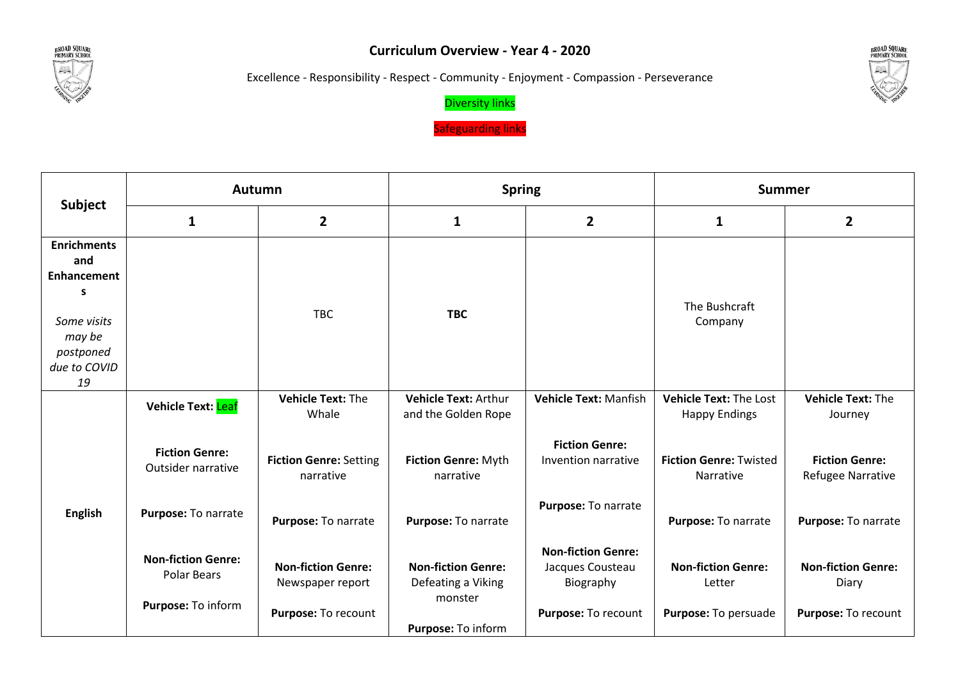

## **Curriculum Overview - Year 4 - 2020**

Excellence - Responsibility - Respect - Community - Enjoyment - Compassion - Perseverance



## Diversity links

**Safeguarding links** 

|                                                                                                           | <b>Autumn</b>                                   |                                               |                                                            | <b>Spring</b><br><b>Summer</b>                             |                                                       |                                                   |
|-----------------------------------------------------------------------------------------------------------|-------------------------------------------------|-----------------------------------------------|------------------------------------------------------------|------------------------------------------------------------|-------------------------------------------------------|---------------------------------------------------|
| <b>Subject</b>                                                                                            | $\mathbf{1}$                                    | $\overline{2}$                                | 1                                                          | $\mathbf{2}$                                               | 1                                                     | $\overline{2}$                                    |
| <b>Enrichments</b><br>and<br>Enhancement<br>s<br>Some visits<br>may be<br>postponed<br>due to COVID<br>19 |                                                 | <b>TBC</b>                                    | <b>TBC</b>                                                 |                                                            | The Bushcraft<br>Company                              |                                                   |
|                                                                                                           | <b>Vehicle Text: Leaf</b>                       | Vehicle Text: The<br>Whale                    | <b>Vehicle Text: Arthur</b><br>and the Golden Rope         | <b>Vehicle Text: Manfish</b>                               | <b>Vehicle Text: The Lost</b><br><b>Happy Endings</b> | Vehicle Text: The<br>Journey                      |
|                                                                                                           | <b>Fiction Genre:</b><br>Outsider narrative     | <b>Fiction Genre: Setting</b><br>narrative    | Fiction Genre: Myth<br>narrative                           | <b>Fiction Genre:</b><br>Invention narrative               | <b>Fiction Genre: Twisted</b><br>Narrative            | <b>Fiction Genre:</b><br><b>Refugee Narrative</b> |
| <b>English</b>                                                                                            | Purpose: To narrate                             | Purpose: To narrate                           | Purpose: To narrate                                        | Purpose: To narrate                                        | Purpose: To narrate                                   | Purpose: To narrate                               |
|                                                                                                           | <b>Non-fiction Genre:</b><br><b>Polar Bears</b> | <b>Non-fiction Genre:</b><br>Newspaper report | <b>Non-fiction Genre:</b><br>Defeating a Viking<br>monster | <b>Non-fiction Genre:</b><br>Jacques Cousteau<br>Biography | <b>Non-fiction Genre:</b><br>Letter                   | <b>Non-fiction Genre:</b><br>Diary                |
|                                                                                                           | Purpose: To inform                              | Purpose: To recount                           | Purpose: To inform                                         | Purpose: To recount                                        | Purpose: To persuade                                  | Purpose: To recount                               |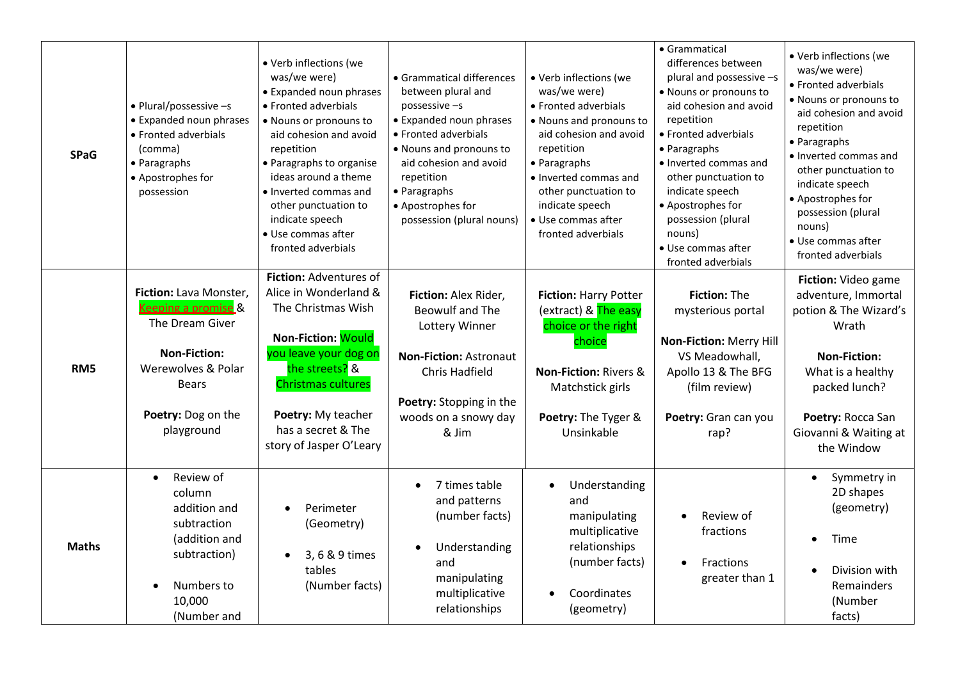| <b>SPaG</b>     | • Plural/possessive -s<br>• Expanded noun phrases<br>• Fronted adverbials<br>(comma)<br>• Paragraphs<br>• Apostrophes for<br>possession                           | • Verb inflections (we<br>was/we were)<br>• Expanded noun phrases<br>• Fronted adverbials<br>• Nouns or pronouns to<br>aid cohesion and avoid<br>repetition<br>• Paragraphs to organise<br>ideas around a theme<br>• Inverted commas and<br>other punctuation to<br>indicate speech<br>· Use commas after<br>fronted adverbials | • Grammatical differences<br>between plural and<br>$possessive -s$<br>• Expanded noun phrases<br>• Fronted adverbials<br>• Nouns and pronouns to<br>aid cohesion and avoid<br>repetition<br>• Paragraphs<br>• Apostrophes for<br>possession (plural nouns) | · Verb inflections (we<br>was/we were)<br>• Fronted adverbials<br>• Nouns and pronouns to<br>aid cohesion and avoid<br>repetition<br>• Paragraphs<br>• Inverted commas and<br>other punctuation to<br>indicate speech<br>· Use commas after<br>fronted adverbials | • Grammatical<br>differences between<br>plural and possessive -s<br>• Nouns or pronouns to<br>aid cohesion and avoid<br>repetition<br>• Fronted adverbials<br>• Paragraphs<br>· Inverted commas and<br>other punctuation to<br>indicate speech<br>• Apostrophes for<br>possession (plural<br>nouns)<br>• Use commas after<br>fronted adverbials | · Verb inflections (we<br>was/we were)<br>• Fronted adverbials<br>• Nouns or pronouns to<br>aid cohesion and avoid<br>repetition<br>• Paragraphs<br>· Inverted commas and<br>other punctuation to<br>indicate speech<br>• Apostrophes for<br>possession (plural<br>nouns)<br>• Use commas after<br>fronted adverbials |
|-----------------|-------------------------------------------------------------------------------------------------------------------------------------------------------------------|---------------------------------------------------------------------------------------------------------------------------------------------------------------------------------------------------------------------------------------------------------------------------------------------------------------------------------|------------------------------------------------------------------------------------------------------------------------------------------------------------------------------------------------------------------------------------------------------------|-------------------------------------------------------------------------------------------------------------------------------------------------------------------------------------------------------------------------------------------------------------------|-------------------------------------------------------------------------------------------------------------------------------------------------------------------------------------------------------------------------------------------------------------------------------------------------------------------------------------------------|-----------------------------------------------------------------------------------------------------------------------------------------------------------------------------------------------------------------------------------------------------------------------------------------------------------------------|
| RM <sub>5</sub> | Fiction: Lava Monster,<br>Keeping a promise &<br>The Dream Giver<br><b>Non-Fiction:</b><br>Werewolves & Polar<br><b>Bears</b><br>Poetry: Dog on the<br>playground | Fiction: Adventures of<br>Alice in Wonderland &<br>The Christmas Wish<br>Non-Fiction: Would<br>you leave your dog on<br>the streets? &<br><b>Christmas cultures</b><br>Poetry: My teacher<br>has a secret & The<br>story of Jasper O'Leary                                                                                      | Fiction: Alex Rider,<br><b>Beowulf and The</b><br>Lottery Winner<br><b>Non-Fiction: Astronaut</b><br>Chris Hadfield<br>Poetry: Stopping in the<br>woods on a snowy day<br>& Jim                                                                            | <b>Fiction: Harry Potter</b><br>(extract) & The easy<br>choice or the right<br>choice<br><b>Non-Fiction: Rivers &amp;</b><br>Matchstick girls<br>Poetry: The Tyger &<br>Unsinkable                                                                                | Fiction: The<br>mysterious portal<br>Non-Fiction: Merry Hill<br>VS Meadowhall,<br>Apollo 13 & The BFG<br>(film review)<br>Poetry: Gran can you<br>rap?                                                                                                                                                                                          | Fiction: Video game<br>adventure, Immortal<br>potion & The Wizard's<br>Wrath<br><b>Non-Fiction:</b><br>What is a healthy<br>packed lunch?<br>Poetry: Rocca San<br>Giovanni & Waiting at<br>the Window                                                                                                                 |
| <b>Maths</b>    | Review of<br>$\bullet$<br>column<br>addition and<br>subtraction<br>(addition and<br>subtraction)<br>Numbers to<br>10,000<br>(Number and                           | Perimeter<br>(Geometry)<br>3, 6 & 9 times<br>tables<br>(Number facts)                                                                                                                                                                                                                                                           | 7 times table<br>and patterns<br>(number facts)<br>Understanding<br>and<br>manipulating<br>multiplicative<br>relationships                                                                                                                                 | Understanding<br>and<br>manipulating<br>multiplicative<br>relationships<br>(number facts)<br>Coordinates<br>(geometry)                                                                                                                                            | Review of<br>fractions<br><b>Fractions</b><br>$\bullet$<br>greater than 1                                                                                                                                                                                                                                                                       | Symmetry in<br>$\bullet$<br>2D shapes<br>(geometry)<br>Time<br>Division with<br>Remainders<br>(Number<br>facts)                                                                                                                                                                                                       |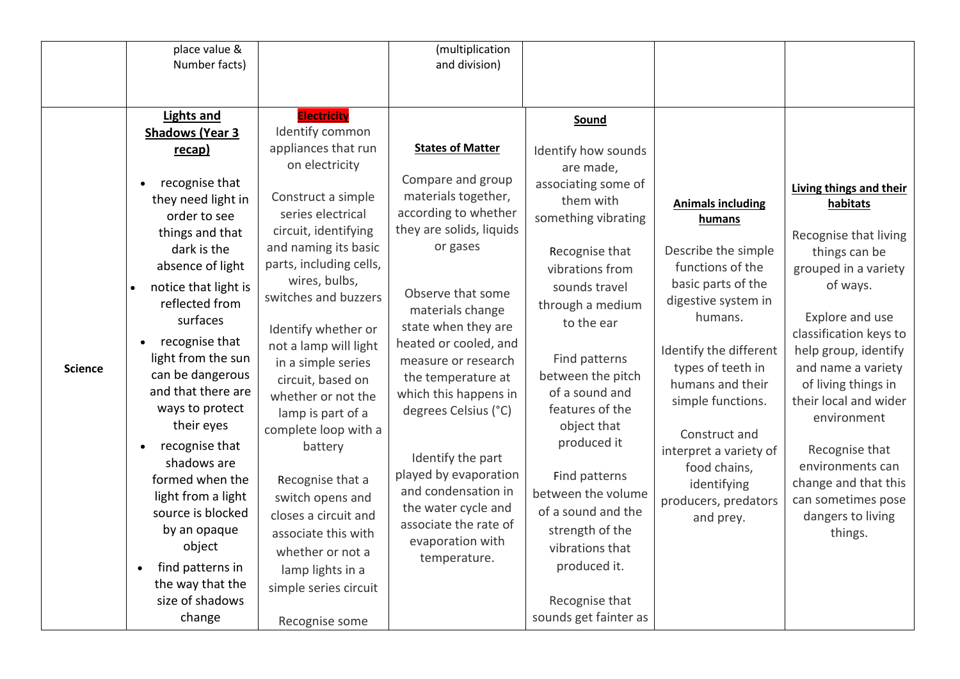|                | place value &          |                         | (multiplication          |                       |                          |                         |
|----------------|------------------------|-------------------------|--------------------------|-----------------------|--------------------------|-------------------------|
|                | Number facts)          |                         | and division)            |                       |                          |                         |
|                |                        |                         |                          |                       |                          |                         |
|                |                        |                         |                          |                       |                          |                         |
|                | <b>Lights and</b>      | <b>Electricity</b>      |                          | Sound                 |                          |                         |
|                | <b>Shadows (Year 3</b> | Identify common         |                          |                       |                          |                         |
|                | recap)                 | appliances that run     | <b>States of Matter</b>  | Identify how sounds   |                          |                         |
|                |                        | on electricity          |                          | are made,             |                          |                         |
|                | recognise that         |                         | Compare and group        | associating some of   |                          | Living things and their |
|                | they need light in     | Construct a simple      | materials together,      | them with             | <b>Animals including</b> | habitats                |
|                | order to see           | series electrical       | according to whether     | something vibrating   | humans                   |                         |
|                | things and that        | circuit, identifying    | they are solids, liquids |                       |                          | Recognise that living   |
|                | dark is the            | and naming its basic    | or gases                 | Recognise that        | Describe the simple      | things can be           |
|                | absence of light       | parts, including cells, |                          | vibrations from       | functions of the         | grouped in a variety    |
|                | notice that light is   | wires, bulbs,           | Observe that some        | sounds travel         | basic parts of the       | of ways.                |
|                | reflected from         | switches and buzzers    | materials change         | through a medium      | digestive system in      |                         |
|                | surfaces               | Identify whether or     | state when they are      | to the ear            | humans.                  | Explore and use         |
|                | recognise that         | not a lamp will light   | heated or cooled, and    |                       |                          | classification keys to  |
|                | light from the sun     | in a simple series      | measure or research      | Find patterns         | Identify the different   | help group, identify    |
| <b>Science</b> | can be dangerous       | circuit, based on       | the temperature at       | between the pitch     | types of teeth in        | and name a variety      |
|                | and that there are     | whether or not the      | which this happens in    | of a sound and        | humans and their         | of living things in     |
|                | ways to protect        | lamp is part of a       | degrees Celsius (°C)     | features of the       | simple functions.        | their local and wider   |
|                | their eyes             | complete loop with a    |                          | object that           |                          | environment             |
|                | recognise that         | battery                 |                          | produced it           | Construct and            |                         |
|                | shadows are            |                         | Identify the part        |                       | interpret a variety of   | Recognise that          |
|                | formed when the        | Recognise that a        | played by evaporation    | Find patterns         | food chains,             | environments can        |
|                | light from a light     | switch opens and        | and condensation in      | between the volume    | identifying              | change and that this    |
|                | source is blocked      |                         | the water cycle and      | of a sound and the    | producers, predators     | can sometimes pose      |
|                | by an opaque           | closes a circuit and    | associate the rate of    | strength of the       | and prey.                | dangers to living       |
|                | object                 | associate this with     | evaporation with         | vibrations that       |                          | things.                 |
|                |                        | whether or not a        | temperature.             |                       |                          |                         |
|                | find patterns in       | lamp lights in a        |                          | produced it.          |                          |                         |
|                | the way that the       | simple series circuit   |                          |                       |                          |                         |
|                | size of shadows        |                         |                          | Recognise that        |                          |                         |
|                | change                 | Recognise some          |                          | sounds get fainter as |                          |                         |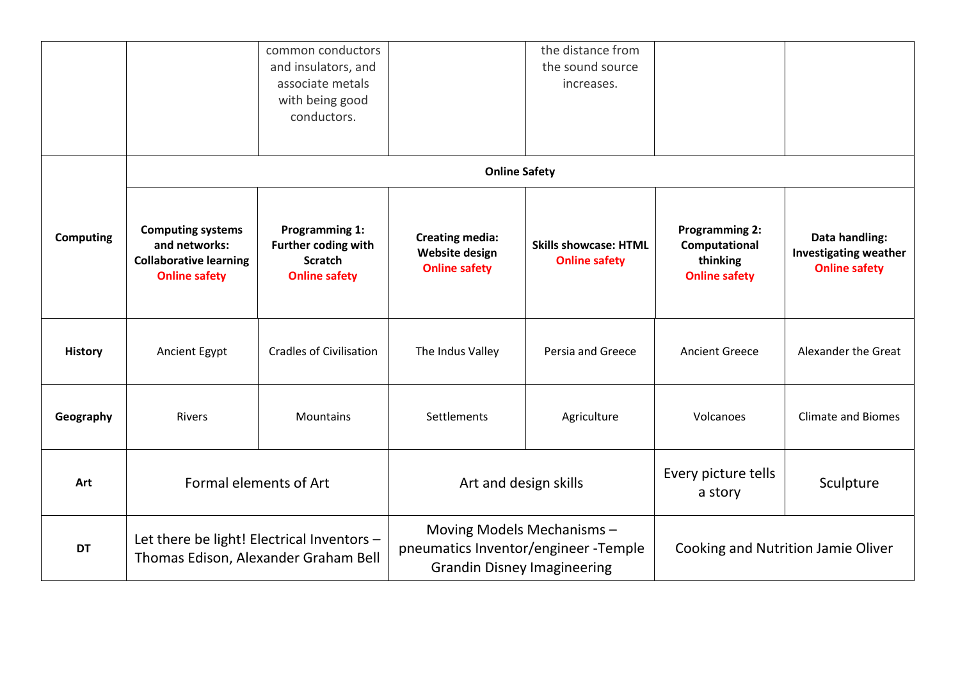|                  |                                                                                                    | common conductors<br>and insulators, and<br>associate metals<br>with being good<br>conductors. |                                                                                                          | the distance from<br>the sound source<br>increases.  |                                                                            |                                                                        |
|------------------|----------------------------------------------------------------------------------------------------|------------------------------------------------------------------------------------------------|----------------------------------------------------------------------------------------------------------|------------------------------------------------------|----------------------------------------------------------------------------|------------------------------------------------------------------------|
|                  |                                                                                                    |                                                                                                | <b>Online Safety</b>                                                                                     |                                                      |                                                                            |                                                                        |
| <b>Computing</b> | <b>Computing systems</b><br>and networks:<br><b>Collaborative learning</b><br><b>Online safety</b> | <b>Programming 1:</b><br>Further coding with<br><b>Scratch</b><br><b>Online safety</b>         | <b>Creating media:</b><br><b>Website design</b><br><b>Online safety</b>                                  | <b>Skills showcase: HTML</b><br><b>Online safety</b> | <b>Programming 2:</b><br>Computational<br>thinking<br><b>Online safety</b> | Data handling:<br><b>Investigating weather</b><br><b>Online safety</b> |
| <b>History</b>   | Ancient Egypt                                                                                      | <b>Cradles of Civilisation</b>                                                                 | The Indus Valley                                                                                         | Persia and Greece                                    | <b>Ancient Greece</b>                                                      | Alexander the Great                                                    |
| Geography        | Rivers                                                                                             | Mountains                                                                                      | Settlements                                                                                              | Agriculture                                          | Volcanoes                                                                  | <b>Climate and Biomes</b>                                              |
| Art              | Formal elements of Art                                                                             |                                                                                                | Art and design skills                                                                                    |                                                      | Every picture tells<br>a story                                             | Sculpture                                                              |
| <b>DT</b>        | Thomas Edison, Alexander Graham Bell                                                               | Let there be light! Electrical Inventors -                                                     | Moving Models Mechanisms -<br>pneumatics Inventor/engineer -Temple<br><b>Grandin Disney Imagineering</b> |                                                      |                                                                            | Cooking and Nutrition Jamie Oliver                                     |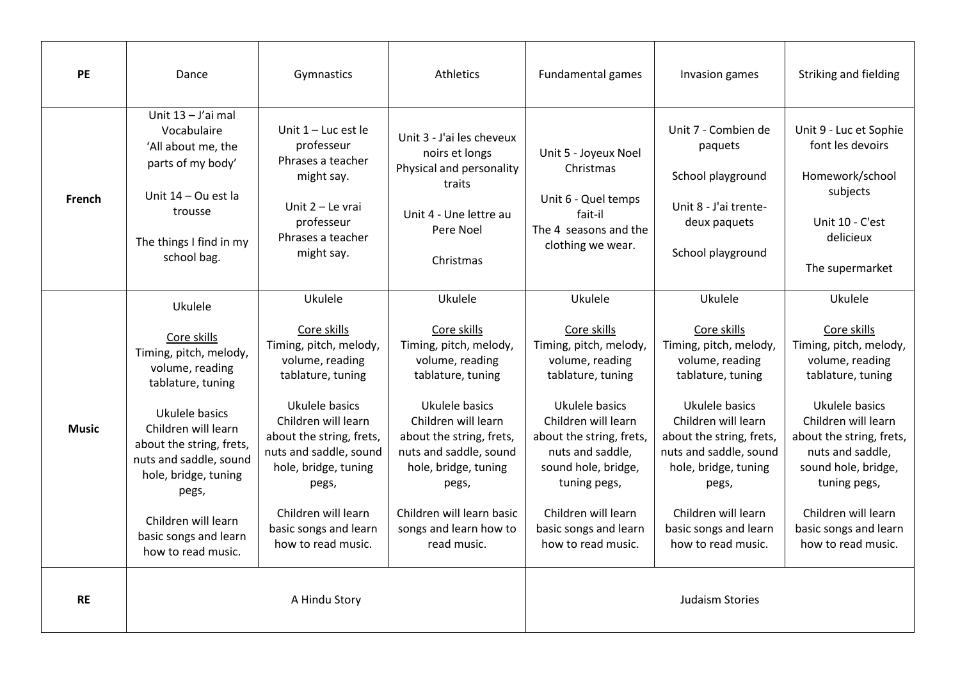| <b>PE</b>    | Dance                                                                                                                                                                                                                                                                                          | Gymnastics                                                                                                                                                                                                                                                                                     | <b>Athletics</b>                                                                                                                                                                                                                                                                               | <b>Fundamental games</b>                                                                                                                                                                                                                                                                       | Invasion games                                                                                                                                                                                                                                                                                 | Striking and fielding                                                                                                                                                                                                                                                                          |
|--------------|------------------------------------------------------------------------------------------------------------------------------------------------------------------------------------------------------------------------------------------------------------------------------------------------|------------------------------------------------------------------------------------------------------------------------------------------------------------------------------------------------------------------------------------------------------------------------------------------------|------------------------------------------------------------------------------------------------------------------------------------------------------------------------------------------------------------------------------------------------------------------------------------------------|------------------------------------------------------------------------------------------------------------------------------------------------------------------------------------------------------------------------------------------------------------------------------------------------|------------------------------------------------------------------------------------------------------------------------------------------------------------------------------------------------------------------------------------------------------------------------------------------------|------------------------------------------------------------------------------------------------------------------------------------------------------------------------------------------------------------------------------------------------------------------------------------------------|
| French       | Unit 13 - J'ai mal<br>Vocabulaire<br>'All about me, the<br>parts of my body'<br>Unit 14 – Ou est la<br>trousse<br>The things I find in my<br>school bag.                                                                                                                                       | Unit $1 -$ Luc est le<br>professeur<br>Phrases a teacher<br>might say.<br>Unit $2 -$ Le vrai<br>professeur<br>Phrases a teacher<br>might say.                                                                                                                                                  | Unit 3 - J'ai les cheveux<br>noirs et longs<br>Physical and personality<br>traits<br>Unit 4 - Une lettre au<br>Pere Noel<br>Christmas                                                                                                                                                          | Unit 5 - Joyeux Noel<br>Christmas<br>Unit 6 - Quel temps<br>fait-il<br>The 4 seasons and the<br>clothing we wear.                                                                                                                                                                              | Unit 7 - Combien de<br>paquets<br>School playground<br>Unit 8 - J'ai trente-<br>deux paquets<br>School playground                                                                                                                                                                              | Unit 9 - Luc et Sophie<br>font les devoirs<br>Homework/school<br>subjects<br>Unit 10 - C'est<br>delicieux<br>The supermarket                                                                                                                                                                   |
| <b>Music</b> | Ukulele<br>Core skills<br>Timing, pitch, melody,<br>volume, reading<br>tablature, tuning<br>Ukulele basics<br>Children will learn<br>about the string, frets,<br>nuts and saddle, sound<br>hole, bridge, tuning<br>pegs,<br>Children will learn<br>basic songs and learn<br>how to read music. | Ukulele<br>Core skills<br>Timing, pitch, melody,<br>volume, reading<br>tablature, tuning<br>Ukulele basics<br>Children will learn<br>about the string, frets,<br>nuts and saddle, sound<br>hole, bridge, tuning<br>pegs,<br>Children will learn<br>basic songs and learn<br>how to read music. | Ukulele<br>Core skills<br>Timing, pitch, melody,<br>volume, reading<br>tablature, tuning<br>Ukulele basics<br>Children will learn<br>about the string, frets,<br>nuts and saddle, sound<br>hole, bridge, tuning<br>pegs,<br>Children will learn basic<br>songs and learn how to<br>read music. | Ukulele<br>Core skills<br>Timing, pitch, melody,<br>volume, reading<br>tablature, tuning<br>Ukulele basics<br>Children will learn<br>about the string, frets,<br>nuts and saddle,<br>sound hole, bridge,<br>tuning pegs,<br>Children will learn<br>basic songs and learn<br>how to read music. | Ukulele<br>Core skills<br>Timing, pitch, melody,<br>volume, reading<br>tablature, tuning<br>Ukulele basics<br>Children will learn<br>about the string, frets,<br>nuts and saddle, sound<br>hole, bridge, tuning<br>pegs,<br>Children will learn<br>basic songs and learn<br>how to read music. | Ukulele<br>Core skills<br>Timing, pitch, melody,<br>volume, reading<br>tablature, tuning<br>Ukulele basics<br>Children will learn<br>about the string, frets,<br>nuts and saddle,<br>sound hole, bridge,<br>tuning pegs,<br>Children will learn<br>basic songs and learn<br>how to read music. |
| <b>RE</b>    |                                                                                                                                                                                                                                                                                                | A Hindu Story                                                                                                                                                                                                                                                                                  |                                                                                                                                                                                                                                                                                                |                                                                                                                                                                                                                                                                                                | <b>Judaism Stories</b>                                                                                                                                                                                                                                                                         |                                                                                                                                                                                                                                                                                                |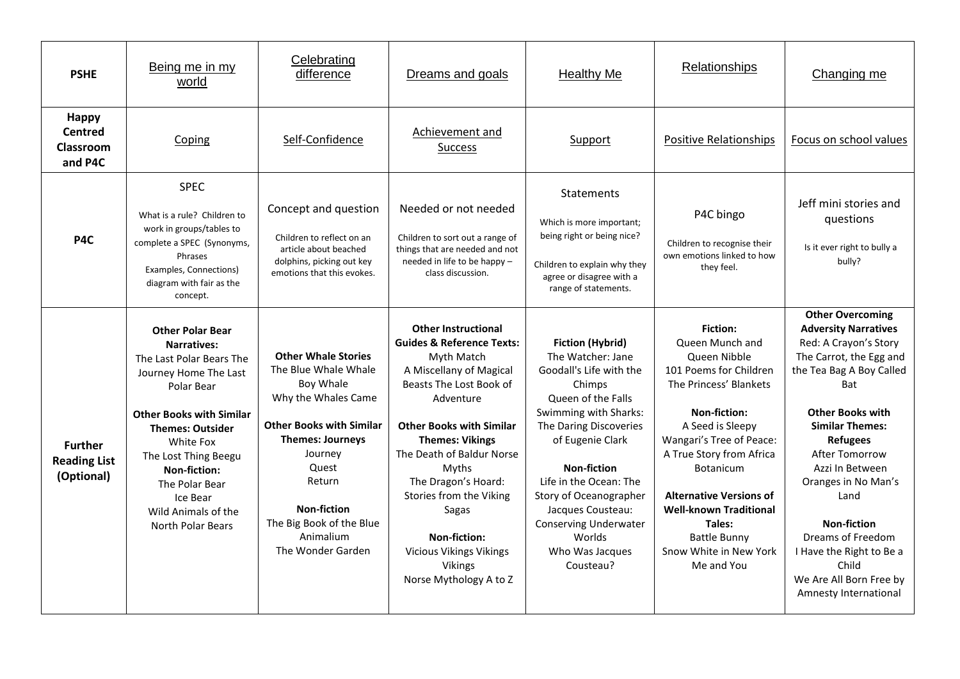| <b>PSHE</b>                                            | Being me in my<br>world                                                                                                                                                                                                                                                                                       | Celebrating<br>difference                                                                                                                                                                                                                                              | Dreams and goals                                                                                                                                                                                                                                                                                                                                                                                         | <b>Healthy Me</b>                                                                                                                                                                                                                                                                                                                                       | Relationships                                                                                                                                                                                                                                                                                                                                               | Changing me                                                                                                                                                                                                                                                                                                                                                                                                                          |
|--------------------------------------------------------|---------------------------------------------------------------------------------------------------------------------------------------------------------------------------------------------------------------------------------------------------------------------------------------------------------------|------------------------------------------------------------------------------------------------------------------------------------------------------------------------------------------------------------------------------------------------------------------------|----------------------------------------------------------------------------------------------------------------------------------------------------------------------------------------------------------------------------------------------------------------------------------------------------------------------------------------------------------------------------------------------------------|---------------------------------------------------------------------------------------------------------------------------------------------------------------------------------------------------------------------------------------------------------------------------------------------------------------------------------------------------------|-------------------------------------------------------------------------------------------------------------------------------------------------------------------------------------------------------------------------------------------------------------------------------------------------------------------------------------------------------------|--------------------------------------------------------------------------------------------------------------------------------------------------------------------------------------------------------------------------------------------------------------------------------------------------------------------------------------------------------------------------------------------------------------------------------------|
| <b>Happy</b><br><b>Centred</b><br>Classroom<br>and P4C | Coping                                                                                                                                                                                                                                                                                                        | Self-Confidence                                                                                                                                                                                                                                                        | Achievement and<br>Success                                                                                                                                                                                                                                                                                                                                                                               | Support                                                                                                                                                                                                                                                                                                                                                 | <b>Positive Relationships</b>                                                                                                                                                                                                                                                                                                                               | Focus on school values                                                                                                                                                                                                                                                                                                                                                                                                               |
| P4C                                                    | <b>SPEC</b><br>What is a rule? Children to<br>work in groups/tables to<br>complete a SPEC (Synonyms,<br>Phrases<br>Examples, Connections)<br>diagram with fair as the<br>concept.                                                                                                                             | Concept and question<br>Children to reflect on an<br>article about beached<br>dolphins, picking out key<br>emotions that this evokes.                                                                                                                                  | Needed or not needed<br>Children to sort out a range of<br>things that are needed and not<br>needed in life to be happy -<br>class discussion.                                                                                                                                                                                                                                                           | Statements<br>Which is more important;<br>being right or being nice?<br>Children to explain why they<br>agree or disagree with a<br>range of statements.                                                                                                                                                                                                | P4C bingo<br>Children to recognise their<br>own emotions linked to how<br>they feel.                                                                                                                                                                                                                                                                        | Jeff mini stories and<br>questions<br>Is it ever right to bully a<br>bully?                                                                                                                                                                                                                                                                                                                                                          |
| <b>Further</b><br><b>Reading List</b><br>(Optional)    | <b>Other Polar Bear</b><br><b>Narratives:</b><br>The Last Polar Bears The<br>Journey Home The Last<br>Polar Bear<br><b>Other Books with Similar</b><br><b>Themes: Outsider</b><br>White Fox<br>The Lost Thing Beegu<br>Non-fiction:<br>The Polar Bear<br>Ice Bear<br>Wild Animals of the<br>North Polar Bears | <b>Other Whale Stories</b><br>The Blue Whale Whale<br>Boy Whale<br>Why the Whales Came<br><b>Other Books with Similar</b><br><b>Themes: Journeys</b><br>Journey<br>Quest<br>Return<br><b>Non-fiction</b><br>The Big Book of the Blue<br>Animalium<br>The Wonder Garden | <b>Other Instructional</b><br><b>Guides &amp; Reference Texts:</b><br>Myth Match<br>A Miscellany of Magical<br>Beasts The Lost Book of<br>Adventure<br><b>Other Books with Similar</b><br><b>Themes: Vikings</b><br>The Death of Baldur Norse<br>Myths<br>The Dragon's Hoard:<br>Stories from the Viking<br>Sagas<br>Non-fiction:<br>Vicious Vikings Vikings<br><b>Vikings</b><br>Norse Mythology A to Z | <b>Fiction (Hybrid)</b><br>The Watcher: Jane<br>Goodall's Life with the<br>Chimps<br>Queen of the Falls<br>Swimming with Sharks:<br>The Daring Discoveries<br>of Eugenie Clark<br><b>Non-fiction</b><br>Life in the Ocean: The<br>Story of Oceanographer<br>Jacques Cousteau:<br><b>Conserving Underwater</b><br>Worlds<br>Who Was Jacques<br>Cousteau? | <b>Fiction:</b><br>Queen Munch and<br>Queen Nibble<br>101 Poems for Children<br>The Princess' Blankets<br><b>Non-fiction:</b><br>A Seed is Sleepy<br>Wangari's Tree of Peace:<br>A True Story from Africa<br>Botanicum<br><b>Alternative Versions of</b><br><b>Well-known Traditional</b><br>Tales:<br>Battle Bunny<br>Snow White in New York<br>Me and You | <b>Other Overcoming</b><br><b>Adversity Narratives</b><br>Red: A Crayon's Story<br>The Carrot, the Egg and<br>the Tea Bag A Boy Called<br>Bat<br><b>Other Books with</b><br><b>Similar Themes:</b><br><b>Refugees</b><br><b>After Tomorrow</b><br>Azzi In Between<br>Oranges in No Man's<br>Land<br><b>Non-fiction</b><br>Dreams of Freedom<br>I Have the Right to Be a<br>Child<br>We Are All Born Free by<br>Amnesty International |